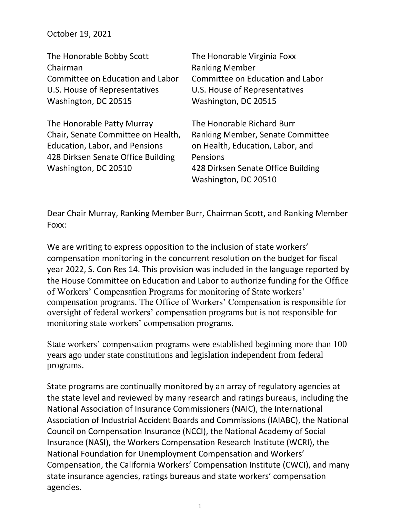October 19, 2021

Washington, DC 20510

| The Honorable Bobby Scott          | The Honorable Virginia Foxx      |
|------------------------------------|----------------------------------|
| Chairman                           | <b>Ranking Member</b>            |
| Committee on Education and Labor   | Committee on Education and Labor |
| U.S. House of Representatives      | U.S. House of Representatives    |
| Washington, DC 20515               | Washington, DC 20515             |
|                                    |                                  |
| The Honorable Patty Murray         | The Honorable Richard Burr       |
| Chair, Senate Committee on Health, | Ranking Member, Senate Committee |
| Education, Labor, and Pensions     | on Health, Education, Labor, and |
| 428 Dirksen Senate Office Building | Pensions                         |

428 Dirksen Senate Office Building Washington, DC 20510

Dear Chair Murray, Ranking Member Burr, Chairman Scott, and Ranking Member Foxx:

We are writing to express opposition to the inclusion of state workers' compensation monitoring in the concurrent resolution on the budget for fiscal year 2022, S. Con Res 14. This provision was included in the language reported by the House Committee on Education and Labor to authorize funding for the Office of Workers' Compensation Programs for monitoring of State workers' compensation programs. The Office of Workers' Compensation is responsible for oversight of federal workers' compensation programs but is not responsible for monitoring state workers' compensation programs.

State workers' compensation programs were established beginning more than 100 years ago under state constitutions and legislation independent from federal programs.

State programs are continually monitored by an array of regulatory agencies at the state level and reviewed by many research and ratings bureaus, including the National Association of Insurance Commissioners (NAIC), the International Association of Industrial Accident Boards and Commissions (IAIABC), the National Council on Compensation Insurance (NCCI), the National Academy of Social Insurance (NASI), the Workers Compensation Research Institute (WCRI), the National Foundation for Unemployment Compensation and Workers' Compensation, the California Workers' Compensation Institute (CWCI), and many state insurance agencies, ratings bureaus and state workers' compensation agencies.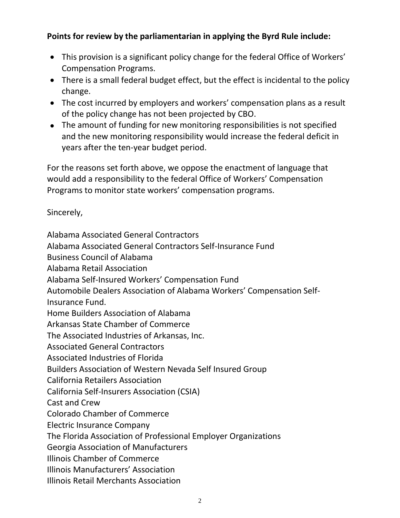## **Points for review by the parliamentarian in applying the Byrd Rule include:**

- This provision is a significant policy change for the federal Office of Workers' Compensation Programs.
- There is a small federal budget effect, but the effect is incidental to the policy change.
- The cost incurred by employers and workers' compensation plans as a result of the policy change has not been projected by CBO.
- The amount of funding for new monitoring responsibilities is not specified and the new monitoring responsibility would increase the federal deficit in years after the ten-year budget period.

For the reasons set forth above, we oppose the enactment of language that would add a responsibility to the federal Office of Workers' Compensation Programs to monitor state workers' compensation programs.

Sincerely,

Alabama Associated General Contractors Alabama Associated General Contractors Self-Insurance Fund Business Council of Alabama Alabama Retail Association Alabama Self-Insured Workers' Compensation Fund Automobile Dealers Association of Alabama Workers' Compensation Self-Insurance Fund. Home Builders Association of Alabama Arkansas State Chamber of Commerce The Associated Industries of Arkansas, Inc. Associated General Contractors Associated Industries of Florida Builders Association of Western Nevada Self Insured Group California Retailers Association California Self-Insurers Association (CSIA) Cast and Crew Colorado Chamber of Commerce Electric Insurance Company The Florida Association of Professional Employer Organizations Georgia Association of Manufacturers Illinois Chamber of Commerce Illinois Manufacturers' Association Illinois Retail Merchants Association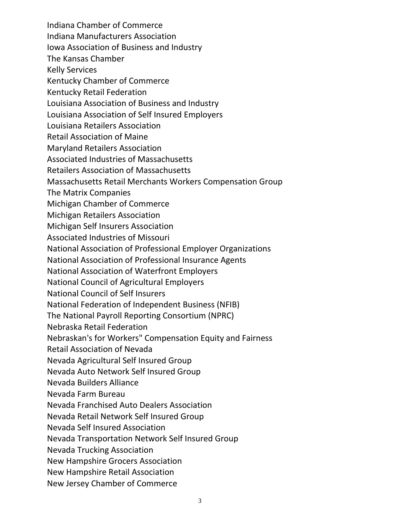Indiana Chamber of Commerce Indiana Manufacturers Association Iowa Association of Business and Industry The Kansas Chamber Kelly Services Kentucky Chamber of Commerce Kentucky Retail Federation Louisiana Association of Business and Industry Louisiana Association of Self Insured Employers Louisiana Retailers Association Retail Association of Maine Maryland Retailers Association Associated Industries of Massachusetts Retailers Association of Massachusetts Massachusetts Retail Merchants Workers Compensation Group The Matrix Companies Michigan Chamber of Commerce Michigan Retailers Association Michigan Self Insurers Association Associated Industries of Missouri National Association of Professional Employer Organizations National Association of Professional Insurance Agents National Association of Waterfront Employers National Council of Agricultural Employers National Council of Self Insurers National Federation of Independent Business (NFIB) The National Payroll Reporting Consortium (NPRC) Nebraska Retail Federation Nebraskan's for Workers" Compensation Equity and Fairness Retail Association of Nevada Nevada Agricultural Self Insured Group Nevada Auto Network Self Insured Group Nevada Builders Alliance Nevada Farm Bureau Nevada Franchised Auto Dealers Association Nevada Retail Network Self Insured Group Nevada Self Insured Association Nevada Transportation Network Self Insured Group Nevada Trucking Association New Hampshire Grocers Association New Hampshire Retail Association New Jersey Chamber of Commerce